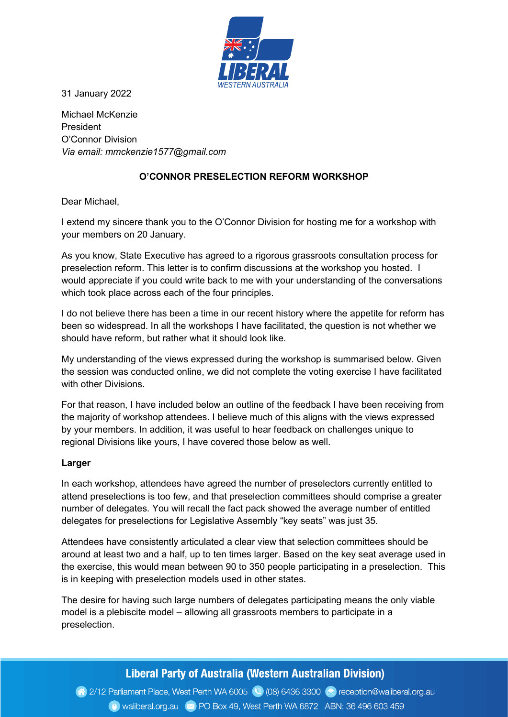

31 January 2022

Michael McKenzie President O'Connor Division Via email: mmckenzie1577@gmail.com

## O'CONNOR PRESELECTION REFORM WORKSHOP

Dear Michael,

I extend my sincere thank you to the O'Connor Division for hosting me for a workshop with your members on 20 January.

As you know, State Executive has agreed to a rigorous grassroots consultation process for preselection reform. This letter is to confirm discussions at the workshop you hosted. I would appreciate if you could write back to me with your understanding of the conversations which took place across each of the four principles.

I do not believe there has been a time in our recent history where the appetite for reform has been so widespread. In all the workshops I have facilitated, the question is not whether we should have reform, but rather what it should look like.

My understanding of the views expressed during the workshop is summarised below. Given the session was conducted online, we did not complete the voting exercise I have facilitated with other Divisions.

For that reason, I have included below an outline of the feedback I have been receiving from the majority of workshop attendees. I believe much of this aligns with the views expressed by your members. In addition, it was useful to hear feedback on challenges unique to regional Divisions like yours, I have covered those below as well.

#### Larger

In each workshop, attendees have agreed the number of preselectors currently entitled to attend preselections is too few, and that preselection committees should comprise a greater number of delegates. You will recall the fact pack showed the average number of entitled delegates for preselections for Legislative Assembly "key seats" was just 35.

Attendees have consistently articulated a clear view that selection committees should be around at least two and a half, up to ten times larger. Based on the key seat average used in the exercise, this would mean between 90 to 350 people participating in a preselection. This is in keeping with preselection models used in other states.

The desire for having such large numbers of delegates participating means the only viable model is a plebiscite model – allowing all grassroots members to participate in a preselection.

# Liberal Party of Australia (Western Australian Division)

2/12 Parliament Place, West Perth WA 6005 (2) (08) 6436 3300 (2) reception@waliberal.org.au Waliberal.org.au (xx) PO Box 49, West Perth WA 6872 ABN: 36 496 603 459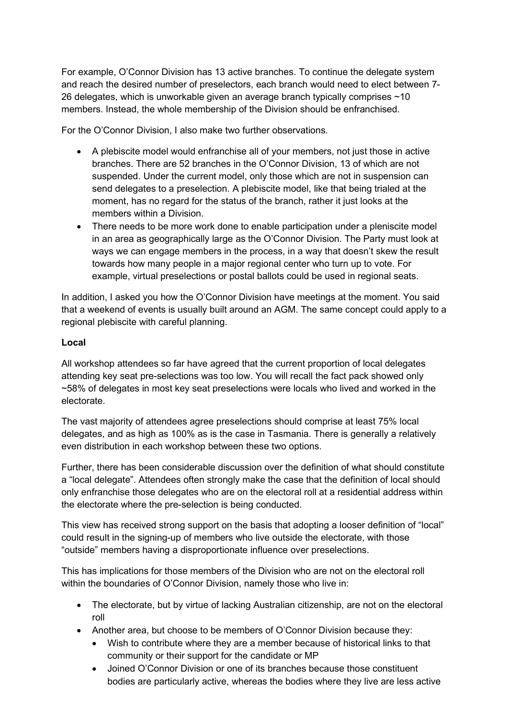For example, O'Connor Division has 13 active branches. To continue the delegate system and reach the desired number of preselectors, each branch would need to elect between 7- 26 delegates, which is unworkable given an average branch typically comprises ~10 members. Instead, the whole membership of the Division should be enfranchised.

For the O'Connor Division, I also make two further observations.

- A plebiscite model would enfranchise all of your members, not just those in active branches. There are 52 branches in the O'Connor Division, 13 of which are not suspended. Under the current model, only those which are not in suspension can send delegates to a preselection. A plebiscite model, like that being trialed at the moment, has no regard for the status of the branch, rather it just looks at the members within a Division.
- There needs to be more work done to enable participation under a pleniscite model in an area as geographically large as the O'Connor Division. The Party must look at ways we can engage members in the process, in a way that doesn't skew the result towards how many people in a major regional center who turn up to vote. For example, virtual preselections or postal ballots could be used in regional seats.

In addition, I asked you how the O'Connor Division have meetings at the moment. You said that a weekend of events is usually built around an AGM. The same concept could apply to a regional plebiscite with careful planning.

#### Local

All workshop attendees so far have agreed that the current proportion of local delegates attending key seat pre-selections was too low. You will recall the fact pack showed only ~58% of delegates in most key seat preselections were locals who lived and worked in the electorate.

The vast majority of attendees agree preselections should comprise at least 75% local delegates, and as high as 100% as is the case in Tasmania. There is generally a relatively even distribution in each workshop between these two options.

Further, there has been considerable discussion over the definition of what should constitute a "local delegate". Attendees often strongly make the case that the definition of local should only enfranchise those delegates who are on the electoral roll at a residential address within the electorate where the pre-selection is being conducted.

This view has received strong support on the basis that adopting a looser definition of "local" could result in the signing-up of members who live outside the electorate, with those "outside" members having a disproportionate influence over preselections.

This has implications for those members of the Division who are not on the electoral roll within the boundaries of O'Connor Division, namely those who live in:

- The electorate, but by virtue of lacking Australian citizenship, are not on the electoral roll
- Another area, but choose to be members of O'Connor Division because they:
	- Wish to contribute where they are a member because of historical links to that community or their support for the candidate or MP
	- Joined O'Connor Division or one of its branches because those constituent bodies are particularly active, whereas the bodies where they live are less active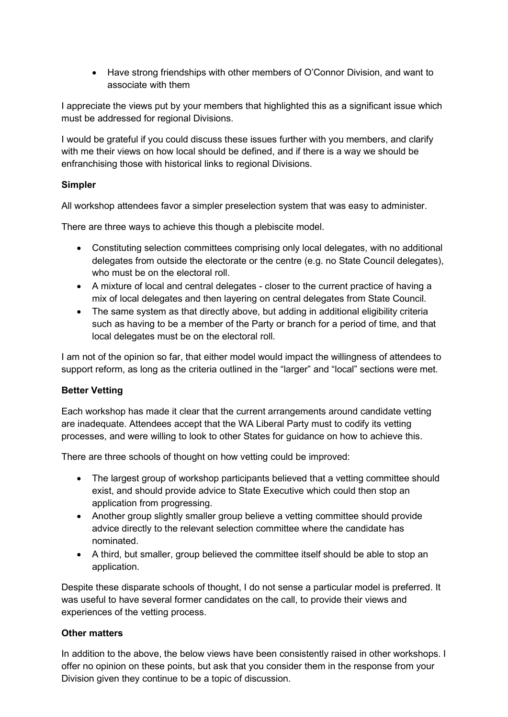Have strong friendships with other members of O'Connor Division, and want to associate with them

I appreciate the views put by your members that highlighted this as a significant issue which must be addressed for regional Divisions.

I would be grateful if you could discuss these issues further with you members, and clarify with me their views on how local should be defined, and if there is a way we should be enfranchising those with historical links to regional Divisions.

### Simpler

All workshop attendees favor a simpler preselection system that was easy to administer.

There are three ways to achieve this though a plebiscite model.

- Constituting selection committees comprising only local delegates, with no additional delegates from outside the electorate or the centre (e.g. no State Council delegates), who must be on the electoral roll.
- A mixture of local and central delegates closer to the current practice of having a mix of local delegates and then layering on central delegates from State Council.
- The same system as that directly above, but adding in additional eligibility criteria such as having to be a member of the Party or branch for a period of time, and that local delegates must be on the electoral roll.

I am not of the opinion so far, that either model would impact the willingness of attendees to support reform, as long as the criteria outlined in the "larger" and "local" sections were met.

### Better Vetting

Each workshop has made it clear that the current arrangements around candidate vetting are inadequate. Attendees accept that the WA Liberal Party must to codify its vetting processes, and were willing to look to other States for guidance on how to achieve this.

There are three schools of thought on how vetting could be improved:

- The largest group of workshop participants believed that a vetting committee should exist, and should provide advice to State Executive which could then stop an application from progressing.
- Another group slightly smaller group believe a vetting committee should provide advice directly to the relevant selection committee where the candidate has nominated.
- A third, but smaller, group believed the committee itself should be able to stop an application.

Despite these disparate schools of thought, I do not sense a particular model is preferred. It was useful to have several former candidates on the call, to provide their views and experiences of the vetting process.

### Other matters

In addition to the above, the below views have been consistently raised in other workshops. I offer no opinion on these points, but ask that you consider them in the response from your Division given they continue to be a topic of discussion.